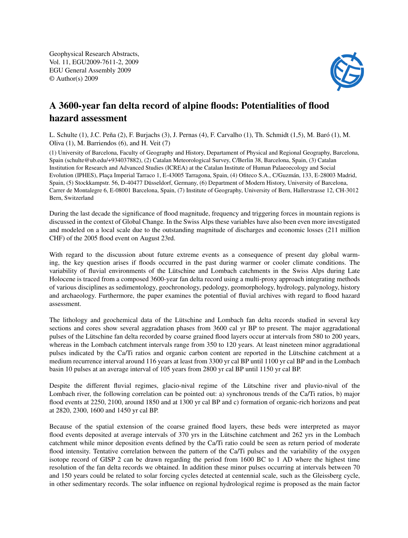Geophysical Research Abstracts, Vol. 11, EGU2009-7611-2, 2009 EGU General Assembly 2009 © Author(s) 2009



## A 3600-year fan delta record of alpine floods: Potentialities of flood hazard assessment

L. Schulte (1), J.C. Peña (2), F. Burjachs (3), J. Pernas (4), F. Carvalho (1), Th. Schmidt (1,5), M. Baró (1), M. Oliva (1), M. Barriendos (6), and H. Veit (7)

(1) University of Barcelona, Faculty of Geography and History, Departament of Physical and Regional Geography, Barcelona, Spain (schulte@ub.edu/+934037882), (2) Catalan Meteorological Survey, C/Berlin 38, Barcelona, Spain, (3) Catalan Institution for Research and Advanced Studies (ICREA) at the Catalan Institute of Human Palaeoecology and Social Evolution (IPHES), Plaça Imperial Tarraco 1, E-43005 Tarragona, Spain, (4) Ofiteco S.A., C/Guzmán, 133, E-28003 Madrid, Spain, (5) Stockkampstr. 56, D-40477 Düsseldorf, Germany, (6) Department of Modern History, University of Barcelona, Carrer de Montalegre 6, E-08001 Barcelona, Spain, (7) Institute of Geography, University of Bern, Hallerstrasse 12, CH-3012 Bern, Switzerland

During the last decade the significance of flood magnitude, frequency and triggering forces in mountain regions is discussed in the context of Global Change. In the Swiss Alps these variables have also been even more investigated and modeled on a local scale due to the outstanding magnitude of discharges and economic losses (211 million CHF) of the 2005 flood event on August 23rd.

With regard to the discussion about future extreme events as a consequence of present day global warming, the key question arises if floods occurred in the past during warmer or cooler climate conditions. The variability of fluvial environments of the Lütschine and Lombach catchments in the Swiss Alps during Late Holocene is traced from a composed 3600-year fan delta record using a multi-proxy approach integrating methods of various disciplines as sedimentology, geochronology, pedology, geomorphology, hydrology, palynology, history and archaeology. Furthermore, the paper examines the potential of fluvial archives with regard to flood hazard assessment.

The lithology and geochemical data of the Lütschine and Lombach fan delta records studied in several key sections and cores show several aggradation phases from 3600 cal yr BP to present. The major aggradational pulses of the Lütschine fan delta recorded by coarse grained flood layers occur at intervals from 580 to 200 years, whereas in the Lombach catchment intervals range from 350 to 120 years. At least nineteen minor aggradational pulses indicated by the Ca/Ti ratios and organic carbon content are reported in the Lütschine catchment at a medium recurrence interval around 116 years at least from 3300 yr cal BP until 1100 yr cal BP and in the Lombach basin 10 pulses at an average interval of 105 years from 2800 yr cal BP until 1150 yr cal BP.

Despite the different fluvial regimes, glacio-nival regime of the Lütschine river and pluvio-nival of the Lombach river, the following correlation can be pointed out: a) synchronous trends of the Ca/Ti ratios, b) major flood events at 2250, 2100, around 1850 and at 1300 yr cal BP and c) formation of organic-rich horizons and peat at 2820, 2300, 1600 and 1450 yr cal BP.

Because of the spatial extension of the coarse grained flood layers, these beds were interpreted as mayor flood events deposited at average intervals of 370 yrs in the Lütschine catchment and 262 yrs in the Lombach catchment while minor deposition events defined by the Ca/Ti ratio could be seen as return period of moderate flood intensity. Tentative correlation between the pattern of the Ca/Ti pulses and the variability of the oxygen isotope record of GISP 2 can be drawn regarding the period from 1600 BC to 1 AD where the highest time resolution of the fan delta records we obtained. In addition these minor pulses occurring at intervals between 70 and 150 years could be related to solar forcing cycles detected at centennial scale, such as the Gleissberg cycle, in other sedimentary records. The solar influence on regional hydrological regime is proposed as the main factor